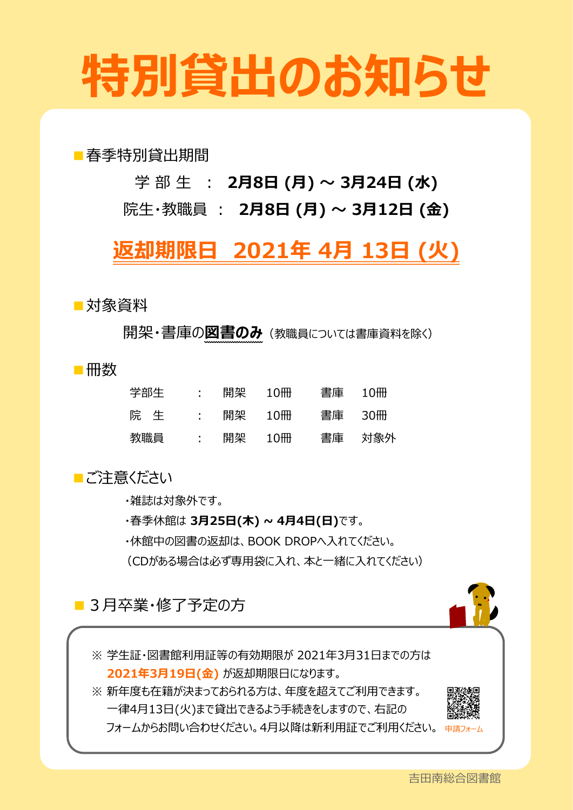# **特別貸出のお知らせ**

■春季特別貸出期間

学 部 生 : **2月8日 (月) ~ 3月24日 (水)**

院生・教職員 : **2月8日 (月) ~ 3月12日 (金)**

### **返却期限日 2021年 4月 13日 (火)**

■対象資料

開架・書庫の**図書のみ**(教職員については書庫資料を除く)

■冊数

| 学部生 | in the control | 開架 | $10 \text{m}$ | 書庫 10冊 |
|-----|----------------|----|---------------|--------|
| 院生  | <b>State</b>   |    | 開架 10冊        | 書庫 30冊 |
| 教職員 | $\sim 1000$    | 開架 | $10 \text{m}$ | 書庫 対象外 |

■ご注意ください

・雑誌は対象外です。

・春季休館は **3月25日(木) ~ 4月4日(日)**です。

・休館中の図書の返却は、BOOK DROPへ入れてください。

(CDがある場合は必ず専用袋に入れ、本と一緒に入れてください)